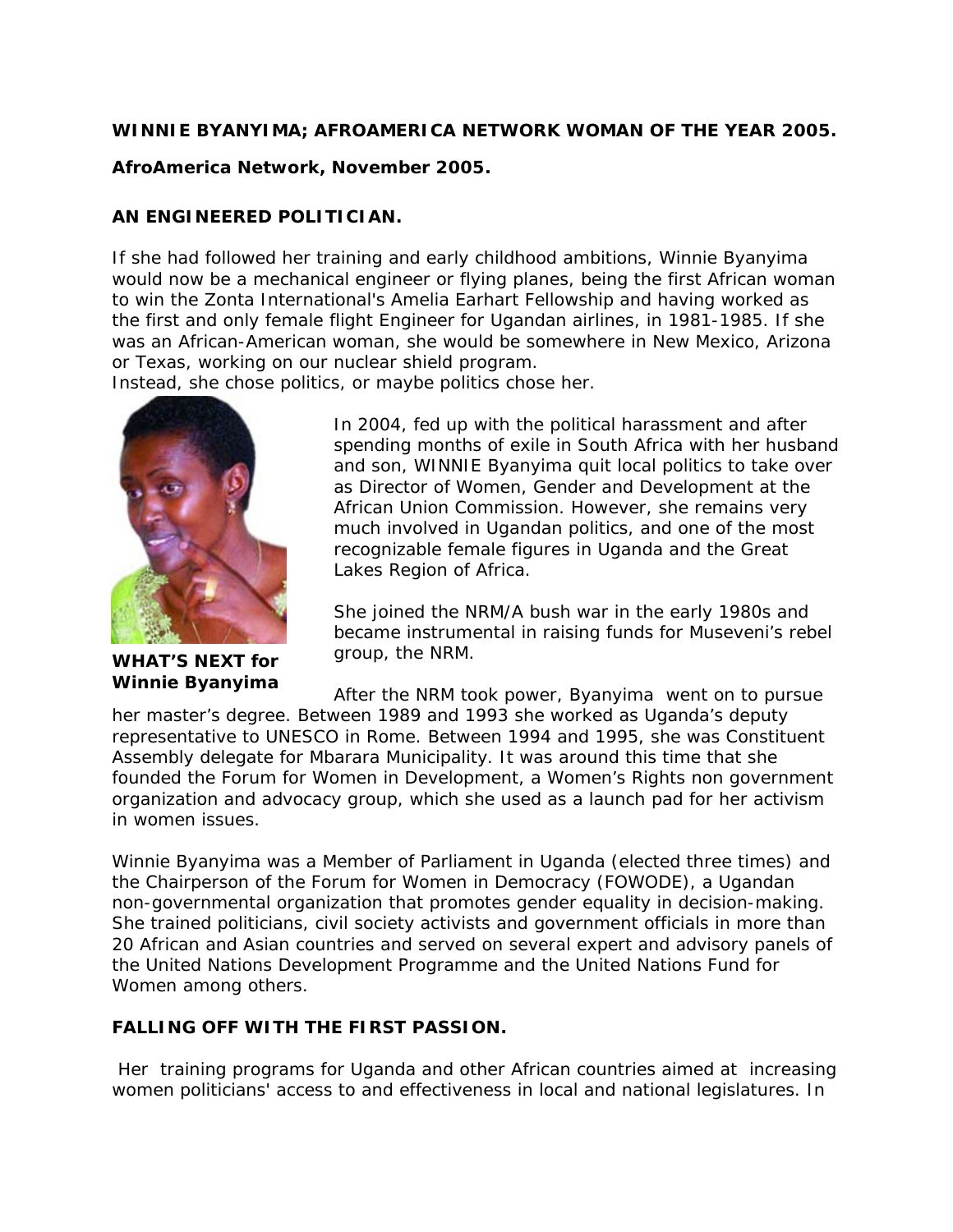#### **WINNIE BYANYIMA; AFROAMERICA NETWORK WOMAN OF THE YEAR 2005.**

### **AfroAmerica Network, November 2005.**

## **AN ENGINEERED POLITICIAN.**

If she had followed her training and early childhood ambitions, Winnie Byanyima would now be a mechanical engineer or flying planes, being the first African woman to win the Zonta International's Amelia Earhart Fellowship and having worked as the first and only female flight Engineer for Ugandan airlines, in 1981-1985. If she was an African-American woman, she would be somewhere in New Mexico, Arizona or Texas, working on our nuclear shield program.

Instead, she chose politics, or maybe politics chose her.



**WHAT'S NEXT for Winnie Byanyima** 

In 2004, fed up with the political harassment and after spending months of exile in South Africa with her husband and son, WINNIE Byanyima quit local politics to take over as Director of Women, Gender and Development at the African Union Commission. However, she remains very much involved in Ugandan politics, and one of the most recognizable female figures in Uganda and the Great Lakes Region of Africa.

She joined the NRM/A bush war in the early 1980s and became instrumental in raising funds for Museveni's rebel group, the NRM.

After the NRM took power, Byanyima went on to pursue her master's degree. Between 1989 and 1993 she worked as Uganda's deputy representative to UNESCO in Rome. Between 1994 and 1995, she was Constituent Assembly delegate for Mbarara Municipality. It was around this time that she founded the Forum for Women in Development, a Women's Rights non government organization and advocacy group, which she used as a launch pad for her activism in women issues.

Winnie Byanyima was a Member of Parliament in Uganda (elected three times) and the Chairperson of the Forum for Women in Democracy (FOWODE), a Ugandan non-governmental organization that promotes gender equality in decision-making. She trained politicians, civil society activists and government officials in more than 20 African and Asian countries and served on several expert and advisory panels of the United Nations Development Programme and the United Nations Fund for Women among others.

## **FALLING OFF WITH THE FIRST PASSION.**

 Her training programs for Uganda and other African countries aimed at increasing women politicians' access to and effectiveness in local and national legislatures. In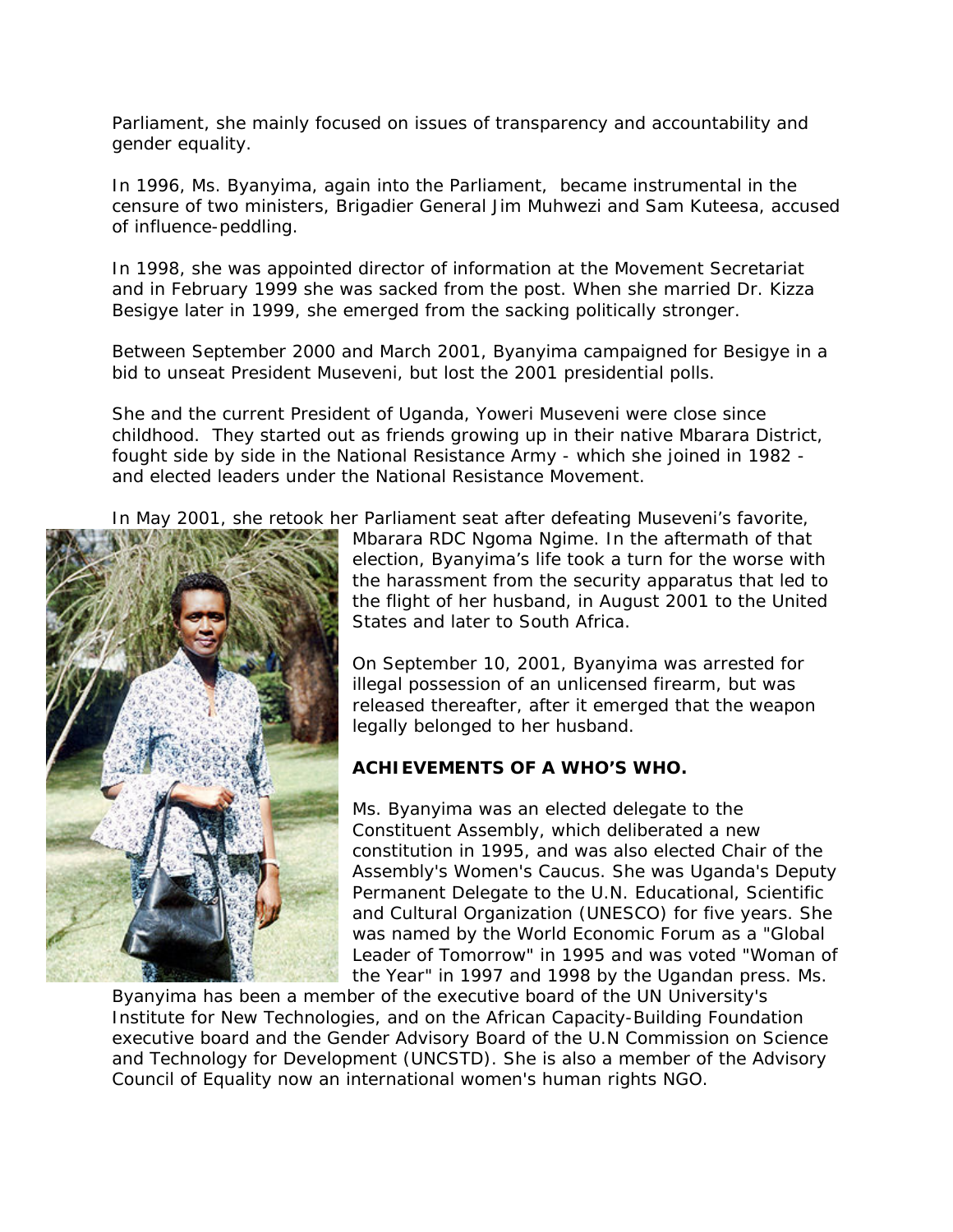Parliament, she mainly focused on issues of transparency and accountability and gender equality.

In 1996, Ms. Byanyima, again into the Parliament, became instrumental in the censure of two ministers, Brigadier General Jim Muhwezi and Sam Kuteesa, accused of influence-peddling.

In 1998, she was appointed director of information at the Movement Secretariat and in February 1999 she was sacked from the post. When she married Dr. Kizza Besigye later in 1999, she emerged from the sacking politically stronger.

Between September 2000 and March 2001, Byanyima campaigned for Besigye in a bid to unseat President Museveni, but lost the 2001 presidential polls.

She and the current President of Uganda, Yoweri Museveni were close since childhood. They started out as friends growing up in their native Mbarara District, fought side by side in the National Resistance Army - which she joined in 1982 and elected leaders under the National Resistance Movement.

In May 2001, she retook her Parliament seat after defeating Museveni's favorite,



Mbarara RDC Ngoma Ngime. In the aftermath of that election, Byanyima's life took a turn for the worse with the harassment from the security apparatus that led to the flight of her husband, in August 2001 to the United States and later to South Africa.

On September 10, 2001, Byanyima was arrested for illegal possession of an unlicensed firearm, but was released thereafter, after it emerged that the weapon legally belonged to her husband.

# **ACHIEVEMENTS OF A WHO'S WHO.**

Ms. Byanyima was an elected delegate to the Constituent Assembly, which deliberated a new constitution in 1995, and was also elected Chair of the Assembly's Women's Caucus. She was Uganda's Deputy Permanent Delegate to the U.N. Educational, Scientific and Cultural Organization (UNESCO) for five years. She was named by the World Economic Forum as a "Global Leader of Tomorrow" in 1995 and was voted "Woman of the Year" in 1997 and 1998 by the Ugandan press. Ms.

Byanyima has been a member of the executive board of the UN University's Institute for New Technologies, and on the African Capacity-Building Foundation executive board and the Gender Advisory Board of the U.N Commission on Science and Technology for Development (UNCSTD). She is also a member of the Advisory Council of Equality now an international women's human rights NGO.